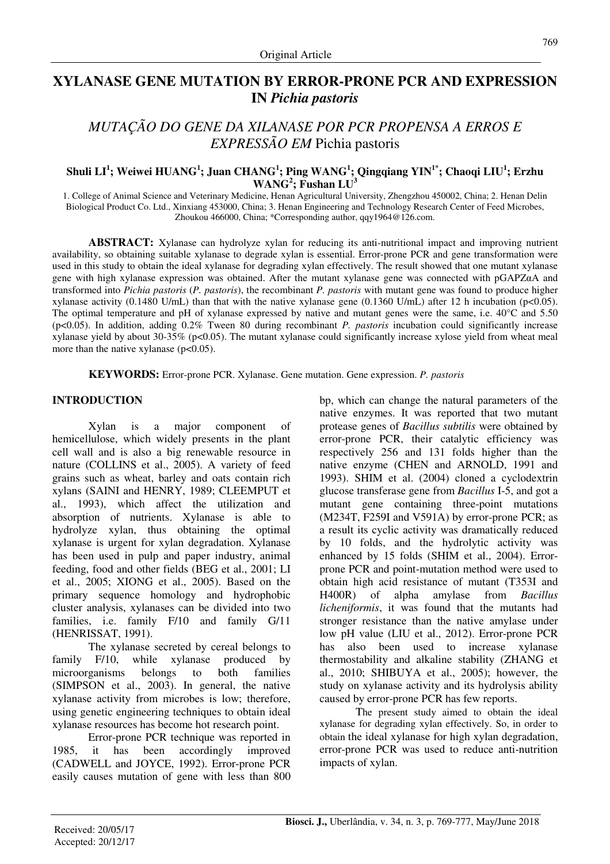# **XYLANASE GENE MUTATION BY ERROR-PRONE PCR AND EXPRESSION IN** *Pichia pastoris*

# *MUTAÇÃO DO GENE DA XILANASE POR PCR PROPENSA A ERROS E EXPRESSÃO EM* Pichia pastoris

# **Shuli LI<sup>1</sup> ; Weiwei HUANG<sup>1</sup> ; Juan CHANG<sup>1</sup> ; Ping WANG<sup>1</sup> ; Qingqiang YIN1\*; Chaoqi LIU<sup>1</sup> ; Erzhu WANG<sup>2</sup> ; Fushan LU<sup>3</sup>**

1. College of Animal Science and Veterinary Medicine, Henan Agricultural University, Zhengzhou 450002, China; 2. Henan Delin Biological Product Co. Ltd., Xinxiang 453000, China; 3. Henan Engineering and Technology Research Center of Feed Microbes, Zhoukou 466000, China; \*Corresponding author, qqy1964@126.com.

**ABSTRACT:** Xylanase can hydrolyze xylan for reducing its anti-nutritional impact and improving nutrient availability, so obtaining suitable xylanase to degrade xylan is essential. Error-prone PCR and gene transformation were used in this study to obtain the ideal xylanase for degrading xylan effectively. The result showed that one mutant xylanase gene with high xylanase expression was obtained. After the mutant xylanase gene was connected with pGAPZαA and transformed into *Pichia pastoris* (*P. pastoris*), the recombinant *P. pastoris* with mutant gene was found to produce higher xylanase activity (0.1480 U/mL) than that with the native xylanase gene (0.1360 U/mL) after 12 h incubation (p<0.05). The optimal temperature and pH of xylanase expressed by native and mutant genes were the same, i.e. 40°C and 5.50 (p<0.05). In addition, adding 0.2% Tween 80 during recombinant *P. pastoris* incubation could significantly increase xylanase yield by about 30-35% ( $p<0.05$ ). The mutant xylanase could significantly increase xylose yield from wheat meal more than the native xylanase  $(p<0.05)$ .

**KEYWORDS:** Error-prone PCR. Xylanase. Gene mutation. Gene expression. *P. pastoris*

# **INTRODUCTION**

Xylan is a major component of hemicellulose, which widely presents in the plant cell wall and is also a big renewable resource in nature (COLLINS et al., 2005). A variety of feed grains such as wheat, barley and oats contain rich xylans (SAINI and HENRY, 1989; CLEEMPUT et al., 1993), which affect the utilization and absorption of nutrients. Xylanase is able to hydrolyze xylan, thus obtaining the optimal xylanase is urgent for xylan degradation. Xylanase has been used in pulp and paper industry, animal feeding, food and other fields (BEG et al., 2001; LI et al., 2005; XIONG et al., 2005). Based on the primary sequence homology and hydrophobic cluster analysis, xylanases can be divided into two families, i.e. family F/10 and family G/11 (HENRISSAT, 1991).

The xylanase secreted by cereal belongs to family F/10, while xylanase produced by microorganisms belongs to both families (SIMPSON et al., 2003). In general, the native xylanase activity from microbes is low; therefore, using genetic engineering techniques to obtain ideal xylanase resources has become hot research point.

Error-prone PCR technique was reported in 1985, it has been accordingly improved (CADWELL and JOYCE, 1992). Error-prone PCR easily causes mutation of gene with less than 800 bp, which can change the natural parameters of the native enzymes. It was reported that two mutant protease genes of *Bacillus subtilis* were obtained by error-prone PCR, their catalytic efficiency was respectively 256 and 131 folds higher than the native enzyme (CHEN and ARNOLD, 1991 and 1993). SHIM et al. (2004) cloned a cyclodextrin glucose transferase gene from *Bacillus* I-5, and got a mutant gene containing three-point mutations (M234T, F259I and V591A) by error-prone PCR; as a result its cyclic activity was dramatically reduced by 10 folds, and the hydrolytic activity was enhanced by 15 folds (SHIM et al., 2004). Errorprone PCR and point-mutation method were used to obtain high acid resistance of mutant (T353I and H400R) of alpha amylase from *Bacillus licheniformis*, it was found that the mutants had stronger resistance than the native amylase under low pH value (LIU et al., 2012). Error-prone PCR has also been used to increase xylanase thermostability and alkaline stability (ZHANG et al., 2010; SHIBUYA et al., 2005); however, the study on xylanase activity and its hydrolysis ability caused by error-prone PCR has few reports.

The present study aimed to obtain the ideal xylanase for degrading xylan effectively. So, in order to obtain the ideal xylanase for high xylan degradation, error-prone PCR was used to reduce anti-nutrition impacts of xylan.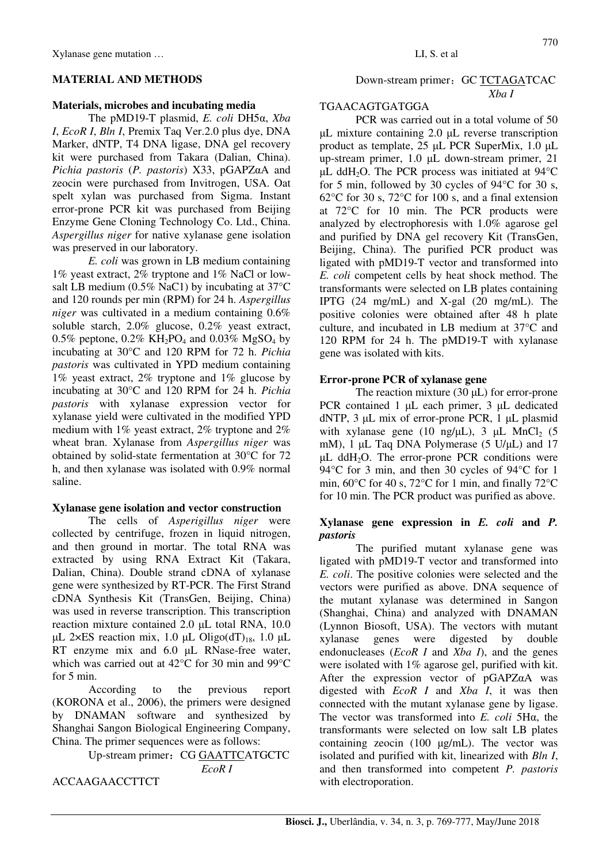## **MATERIAL AND METHODS**

#### **Materials, microbes and incubating media**

The pMD19-T plasmid, *E. coli* DH5α, *Xba I*, *EcoR I*, *Bln I*, Premix Taq Ver.2.0 plus dye, DNA Marker, dNTP, T4 DNA ligase, DNA gel recovery kit were purchased from Takara (Dalian, China). *Pichia pastoris* (*P. pastoris*) X33, pGAPZαA and zeocin were purchased from Invitrogen, USA. Oat spelt xylan was purchased from Sigma. Instant error-prone PCR kit was purchased from Beijing Enzyme Gene Cloning Technology Co. Ltd., China. *Aspergillus niger* for native xylanase gene isolation was preserved in our laboratory.

*E. coli* was grown in LB medium containing 1% yeast extract, 2% tryptone and 1% NaCl or lowsalt LB medium (0.5% NaC1) by incubating at 37°C and 120 rounds per min (RPM) for 24 h. *Aspergillus niger* was cultivated in a medium containing 0.6% soluble starch, 2.0% glucose, 0.2% yeast extract, 0.5% peptone, 0.2% KH<sub>2</sub>PO<sub>4</sub> and 0.03% MgSO<sub>4</sub> by incubating at 30°C and 120 RPM for 72 h. *Pichia pastoris* was cultivated in YPD medium containing 1% yeast extract, 2% tryptone and 1% glucose by incubating at 30°C and 120 RPM for 24 h. *Pichia pastoris* with xylanase expression vector for xylanase yield were cultivated in the modified YPD medium with 1% yeast extract, 2% tryptone and 2% wheat bran. Xylanase from *Aspergillus niger* was obtained by solid-state fermentation at 30°C for 72 h, and then xylanase was isolated with 0.9% normal saline.

## **Xylanase gene isolation and vector construction**

The cells of *Asperigillus niger* were collected by centrifuge, frozen in liquid nitrogen, and then ground in mortar. The total RNA was extracted by using RNA Extract Kit (Takara, Dalian, China). Double strand cDNA of xylanase gene were synthesized by RT-PCR. The First Strand cDNA Synthesis Kit (TransGen, Beijing, China) was used in reverse transcription. This transcription reaction mixture contained 2.0 µL total RNA, 10.0  $\mu$ L 2×ES reaction mix, 1.0  $\mu$ L Oligo(dT)<sub>18</sub>, 1.0  $\mu$ L RT enzyme mix and 6.0  $\mu$ L RNase-free water, which was carried out at 42°C for 30 min and 99°C for 5 min.

According to the previous report (KORONA et al., 2006), the primers were designed by DNAMAN software and synthesized by Shanghai Sangon Biological Engineering Company, China. The primer sequences were as follows:

Up-stream primer: CG GAATTCATGCTC *EcoR I*

ACCAAGAACCTTCT

# Down-stream primer: GC TCTAGATCAC *Xba I*

# TGAACAGTGATGGA

PCR was carried out in a total volume of 50 µL mixture containing 2.0 µL reverse transcription product as template, 25 µL PCR SuperMix, 1.0 µL up-stream primer, 1.0 µL down-stream primer, 21  $\mu$ L ddH<sub>2</sub>O. The PCR process was initiated at 94 $\degree$ C for 5 min, followed by 30 cycles of 94°C for 30 s, 62°C for 30 s, 72°C for 100 s, and a final extension at 72°C for 10 min. The PCR products were analyzed by electrophoresis with 1.0% agarose gel and purified by DNA gel recovery Kit (TransGen, Beijing, China). The purified PCR product was ligated with pMD19-T vector and transformed into *E. coli* competent cells by heat shock method. The transformants were selected on LB plates containing IPTG (24 mg/mL) and X-gal (20 mg/mL). The positive colonies were obtained after 48 h plate culture, and incubated in LB medium at 37°C and 120 RPM for 24 h. The pMD19-T with xylanase gene was isolated with kits.

## **Error-prone PCR of xylanase gene**

The reaction mixture  $(30 \mu L)$  for error-prone PCR contained 1 µL each primer, 3 µL dedicated dNTP, 3 µL mix of error-prone PCR, 1 µL plasmid with xylanase gene (10 ng/ $\mu$ L), 3  $\mu$ L MnCl<sub>2</sub> (5 mM), 1  $\mu$ L Taq DNA Polymerase (5 U/ $\mu$ L) and 17 µL ddH2O. The error-prone PCR conditions were 94 °C for 3 min, and then 30 cycles of 94 °C for 1 min, 60°C for 40 s, 72°C for 1 min, and finally 72°C for 10 min. The PCR product was purified as above.

## **Xylanase gene expression in** *E. coli* **and** *P. pastoris*

The purified mutant xylanase gene was ligated with pMD19-T vector and transformed into *E. coli*. The positive colonies were selected and the vectors were purified as above. DNA sequence of the mutant xylanase was determined in Sangon (Shanghai, China) and analyzed with DNAMAN (Lynnon Biosoft, USA). The vectors with mutant xylanase genes were digested by double endonucleases (*EcoR I* and *Xba I*), and the genes were isolated with 1% agarose gel, purified with kit. After the expression vector of pGAPZαA was digested with *EcoR I* and *Xba I*, it was then connected with the mutant xylanase gene by ligase. The vector was transformed into *E. coli* 5Hα, the transformants were selected on low salt LB plates containing zeocin (100 µg/mL). The vector was isolated and purified with kit, linearized with *Bln I*, and then transformed into competent *P. pastoris* with electroporation.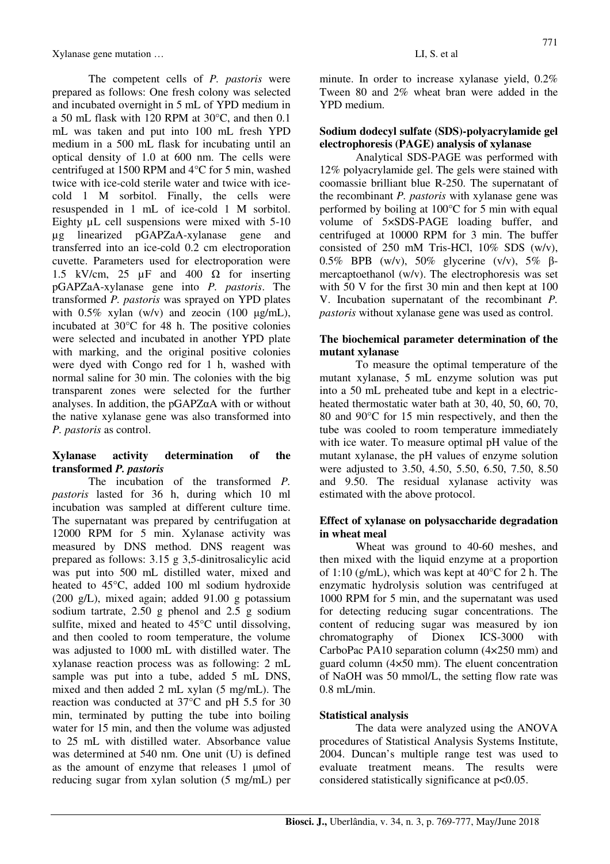The competent cells of *P. pastoris* were prepared as follows: One fresh colony was selected and incubated overnight in 5 mL of YPD medium in a 50 mL flask with 120 RPM at 30°C, and then 0.1 mL was taken and put into 100 mL fresh YPD medium in a 500 mL flask for incubating until an optical density of 1.0 at 600 nm. The cells were centrifuged at 1500 RPM and 4°C for 5 min, washed twice with ice-cold sterile water and twice with icecold 1 M sorbitol. Finally, the cells were resuspended in 1 mL of ice-cold 1 M sorbitol. Eighty uL cell suspensions were mixed with 5-10 µg linearized pGAPZaA-xylanase gene and transferred into an ice-cold 0.2 cm electroporation cuvette. Parameters used for electroporation were 1.5 kV/cm, 25  $\mu$ F and 400  $\Omega$  for inserting pGAPZaA-xylanase gene into *P. pastoris*. The transformed *P. pastoris* was sprayed on YPD plates with  $0.5\%$  xylan (w/v) and zeocin (100  $\mu$ g/mL), incubated at 30°C for 48 h. The positive colonies were selected and incubated in another YPD plate with marking, and the original positive colonies were dyed with Congo red for 1 h, washed with normal saline for 30 min. The colonies with the big transparent zones were selected for the further analyses. In addition, the pGAPZαA with or without the native xylanase gene was also transformed into *P. pastoris* as control.

## **Xylanase activity determination of the transformed** *P. pastoris*

The incubation of the transformed *P. pastoris* lasted for 36 h, during which 10 ml incubation was sampled at different culture time. The supernatant was prepared by centrifugation at 12000 RPM for 5 min. Xylanase activity was measured by DNS method. DNS reagent was prepared as follows: 3.15 g 3,5-dinitrosalicylic acid was put into 500 mL distilled water, mixed and heated to 45°C, added 100 ml sodium hydroxide (200 g/L), mixed again; added 91.00 g potassium sodium tartrate, 2.50 g phenol and 2.5 g sodium sulfite, mixed and heated to 45°C until dissolving, and then cooled to room temperature, the volume was adjusted to 1000 mL with distilled water. The xylanase reaction process was as following: 2 mL sample was put into a tube, added 5 mL DNS, mixed and then added 2 mL xylan (5 mg/mL). The reaction was conducted at 37°C and pH 5.5 for 30 min, terminated by putting the tube into boiling water for 15 min, and then the volume was adjusted to 25 mL with distilled water. Absorbance value was determined at 540 nm. One unit (U) is defined as the amount of enzyme that releases  $1 \text{ \mu mol of}$ reducing sugar from xylan solution (5 mg/mL) per minute. In order to increase xylanase yield, 0.2% Tween 80 and 2% wheat bran were added in the YPD medium.

## **Sodium dodecyl sulfate (SDS)-polyacrylamide gel electrophoresis (PAGE) analysis of xylanase**

Analytical SDS-PAGE was performed with 12% polyacrylamide gel. The gels were stained with coomassie brilliant blue R-250. The supernatant of the recombinant *P. pastoris* with xylanase gene was performed by boiling at 100°C for 5 min with equal volume of 5×SDS-PAGE loading buffer, and centrifuged at 10000 RPM for 3 min. The buffer consisted of 250 mM Tris-HCl, 10% SDS (w/v), 0.5% BPB (w/v), 50% glycerine (v/v), 5% βmercaptoethanol (w/v). The electrophoresis was set with 50 V for the first 30 min and then kept at 100 V. Incubation supernatant of the recombinant *P. pastoris* without xylanase gene was used as control.

## **The biochemical parameter determination of the mutant xylanase**

To measure the optimal temperature of the mutant xylanase, 5 mL enzyme solution was put into a 50 mL preheated tube and kept in a electricheated thermostatic water bath at 30, 40, 50, 60, 70, 80 and 90°C for 15 min respectively, and then the tube was cooled to room temperature immediately with ice water. To measure optimal pH value of the mutant xylanase, the pH values of enzyme solution were adjusted to 3.50, 4.50, 5.50, 6.50, 7.50, 8.50 and 9.50. The residual xylanase activity was estimated with the above protocol.

## **Effect of xylanase on polysaccharide degradation in wheat meal**

Wheat was ground to 40-60 meshes, and then mixed with the liquid enzyme at a proportion of 1:10 (g/mL), which was kept at  $40^{\circ}$ C for 2 h. The enzymatic hydrolysis solution was centrifuged at 1000 RPM for 5 min, and the supernatant was used for detecting reducing sugar concentrations. The content of reducing sugar was measured by ion chromatography of Dionex ICS-3000 with CarboPac PA10 separation column (4×250 mm) and guard column (4×50 mm). The eluent concentration of NaOH was 50 mmol/L, the setting flow rate was 0.8 mL/min.

# **Statistical analysis**

The data were analyzed using the ANOVA procedures of Statistical Analysis Systems Institute, 2004. Duncan's multiple range test was used to evaluate treatment means. The results were considered statistically significance at p<0.05.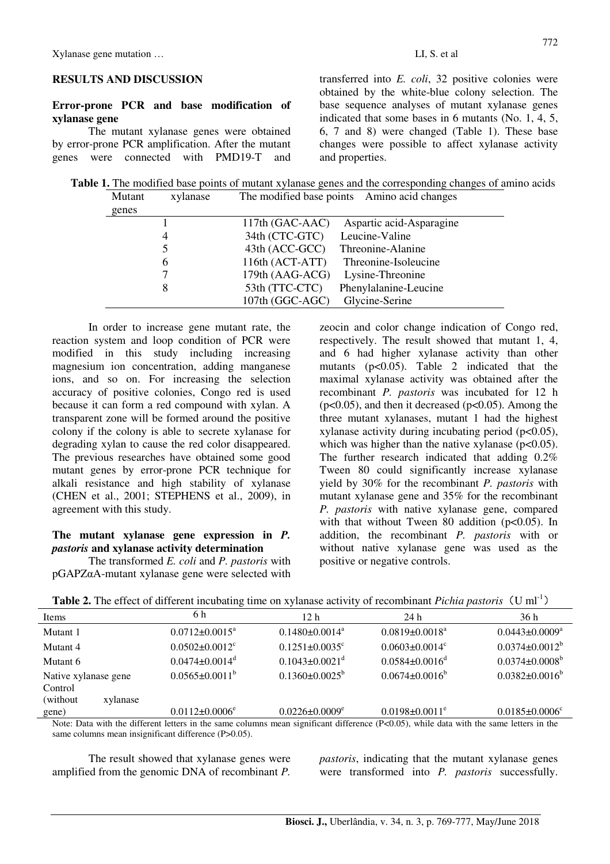## **RESULTS AND DISCUSSION**

## **Error-prone PCR and base modification of xylanase gene**

The mutant xylanase genes were obtained by error-prone PCR amplification. After the mutant genes were connected with PMD19-T and transferred into *E. coli*, 32 positive colonies were obtained by the white-blue colony selection. The base sequence analyses of mutant xylanase genes indicated that some bases in 6 mutants (No. 1, 4, 5, 6, 7 and 8) were changed (Table 1). These base changes were possible to affect xylanase activity and properties.

**Table 1.** The modified base points of mutant xylanase genes and the corresponding changes of amino acids Mutant xylanase The modified base points Amino acid changes

| genes |                 |                          |
|-------|-----------------|--------------------------|
|       | 117th (GAC-AAC) | Aspartic acid-Asparagine |
|       | 34th (CTC-GTC)  | Leucine-Valine           |
|       | 43th (ACC-GCC)  | Threonine-Alanine        |
| 6     | 116th (ACT-ATT) | Threonine-Isoleucine     |
|       | 179th (AAG-ACG) | Lysine-Threonine         |
|       | 53th (TTC-CTC)  | Phenylalanine-Leucine    |
|       | 107th (GGC-AGC) | Glycine-Serine           |

In order to increase gene mutant rate, the reaction system and loop condition of PCR were modified in this study including increasing magnesium ion concentration, adding manganese ions, and so on. For increasing the selection accuracy of positive colonies, Congo red is used because it can form a red compound with xylan. A transparent zone will be formed around the positive colony if the colony is able to secrete xylanase for degrading xylan to cause the red color disappeared. The previous researches have obtained some good mutant genes by error-prone PCR technique for alkali resistance and high stability of xylanase (CHEN et al., 2001; STEPHENS et al., 2009), in agreement with this study.

## **The mutant xylanase gene expression in** *P. pastoris* **and xylanase activity determination**

The transformed *E. coli* and *P. pastoris* with pGAPZαA-mutant xylanase gene were selected with zeocin and color change indication of Congo red, respectively. The result showed that mutant 1, 4, and 6 had higher xylanase activity than other mutants  $(p<0.05)$ . Table 2 indicated that the maximal xylanase activity was obtained after the recombinant *P. pastoris* was incubated for 12 h  $(p<0.05)$ , and then it decreased  $(p<0.05)$ . Among the three mutant xylanases, mutant 1 had the highest xylanase activity during incubating period (p<0.05), which was higher than the native xylanase  $(p<0.05)$ . The further research indicated that adding 0.2% Tween 80 could significantly increase xylanase yield by 30% for the recombinant *P. pastoris* with mutant xylanase gene and 35% for the recombinant *P. pastoris* with native xylanase gene, compared with that without Tween 80 addition ( $p<0.05$ ). In addition, the recombinant *P. pastoris* with or without native xylanase gene was used as the positive or negative controls.

|  | <b>Table 2.</b> The effect of different incubating time on xylanase activity of recombinant <i>Pichia pastoris</i> (U ml <sup>-1</sup> ) |  |
|--|------------------------------------------------------------------------------------------------------------------------------------------|--|
|  |                                                                                                                                          |  |

|                       | ັ                                |                                  |                                  |                                  |
|-----------------------|----------------------------------|----------------------------------|----------------------------------|----------------------------------|
| Items                 | 6 h                              | 12 <sub>h</sub>                  | 24 h                             | 36 h                             |
| Mutant 1              | $0.0712 \pm 0.0015^a$            | $0.1480 \pm 0.0014$ <sup>a</sup> | $0.0819\pm0.0018^a$              | $0.0443 \pm 0.0009^a$            |
| Mutant 4              | $0.0502 \pm 0.0012$ <sup>c</sup> | $0.1251 \pm 0.0035$ <sup>c</sup> | $0.0603 \pm 0.0014$ <sup>c</sup> | $0.0374 \pm 0.0012^b$            |
| Mutant 6              | $0.0474 \pm 0.0014$ <sup>d</sup> | $0.1043 \pm 0.0021$ <sup>d</sup> | $0.0584 \pm 0.0016$ <sup>d</sup> | $0.0374 \pm 0.0008^b$            |
| Native xylanase gene  | $0.0565 \pm 0.0011^b$            | $0.1360 \pm 0.0025^{\rm b}$      | $0.0674 \pm 0.0016^b$            | $0.0382 \pm 0.0016^{\circ}$      |
| Control               |                                  |                                  |                                  |                                  |
| (without)<br>xylanase |                                  |                                  |                                  |                                  |
| gene)                 | $0.0112 \pm 0.0006$ <sup>e</sup> | $0.0226 \pm 0.0009$ <sup>e</sup> | $0.0198 \pm 0.0011^e$            | $0.0185 \pm 0.0006$ <sup>c</sup> |
|                       |                                  |                                  |                                  |                                  |

Note: Data with the different letters in the same columns mean significant difference (P<0.05), while data with the same letters in the same columns mean insignificant difference (P>0.05).

The result showed that xylanase genes were amplified from the genomic DNA of recombinant *P.* 

*pastoris*, indicating that the mutant xylanase genes were transformed into *P. pastoris* successfully.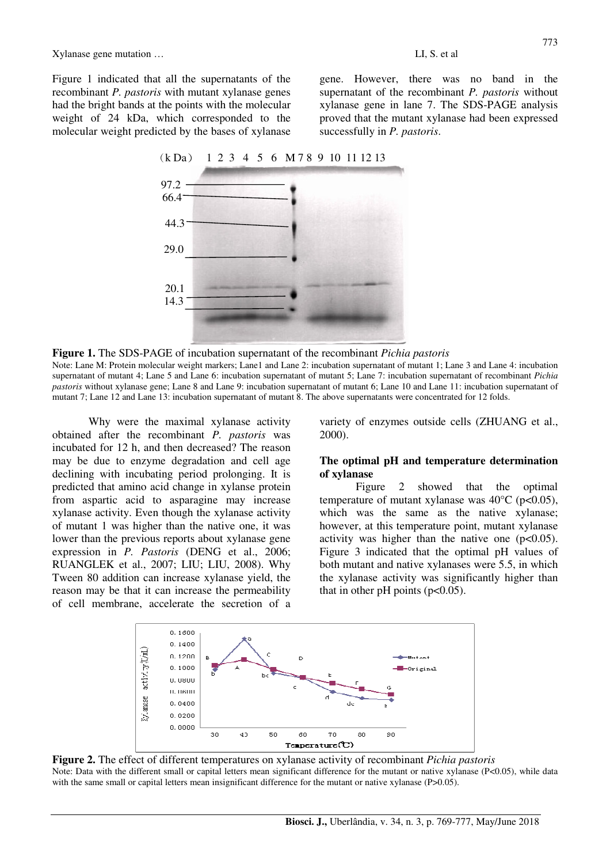Xylanase gene mutation …

Figure 1 indicated that all the supernatants of the recombinant *P. pastoris* with mutant xylanase genes had the bright bands at the points with the molecular weight of 24 kDa, which corresponded to the molecular weight predicted by the bases of xylanase gene. However, there was no band in the supernatant of the recombinant *P. pastoris* without xylanase gene in lane 7. The SDS-PAGE analysis proved that the mutant xylanase had been expressed successfully in *P. pastoris*.

# (k Da) 1 2 3 4 5 6 M 7 8 9 10 11 12 13



**Figure 1.** The SDS-PAGE of incubation supernatant of the recombinant *Pichia pastoris*

Note: Lane M: Protein molecular weight markers; Lane1 and Lane 2: incubation supernatant of mutant 1; Lane 3 and Lane 4: incubation supernatant of mutant 4; Lane 5 and Lane 6: incubation supernatant of mutant 5; Lane 7: incubation supernatant of recombinant *Pichia pastoris* without xylanase gene; Lane 8 and Lane 9: incubation supernatant of mutant 6; Lane 10 and Lane 11: incubation supernatant of mutant 7; Lane 12 and Lane 13: incubation supernatant of mutant 8. The above supernatants were concentrated for 12 folds.

Why were the maximal xylanase activity obtained after the recombinant *P. pastoris* was incubated for 12 h, and then decreased? The reason may be due to enzyme degradation and cell age declining with incubating period prolonging. It is predicted that amino acid change in xylanse protein from aspartic acid to asparagine may increase xylanase activity. Even though the xylanase activity of mutant 1 was higher than the native one, it was lower than the previous reports about xylanase gene expression in *P. Pastoris* (DENG et al., 2006; RUANGLEK et al., 2007; LIU; LIU, 2008). Why Tween 80 addition can increase xylanase yield, the reason may be that it can increase the permeability of cell membrane, accelerate the secretion of a variety of enzymes outside cells (ZHUANG et al., 2000).

#### **The optimal pH and temperature determination of xylanase**

Figure 2 showed that the optimal temperature of mutant xylanase was  $40^{\circ}$ C (p<0.05), which was the same as the native xylanase; however, at this temperature point, mutant xylanase activity was higher than the native one  $(p<0.05)$ . Figure 3 indicated that the optimal pH values of both mutant and native xylanases were 5.5, in which the xylanase activity was significantly higher than that in other pH points  $(p<0.05)$ .



**Figure 2.** The effect of different temperatures on xylanase activity of recombinant *Pichia pastoris*  Note: Data with the different small or capital letters mean significant difference for the mutant or native xylanase (P<0.05), while data with the same small or capital letters mean insignificant difference for the mutant or native xylanase (P>0.05).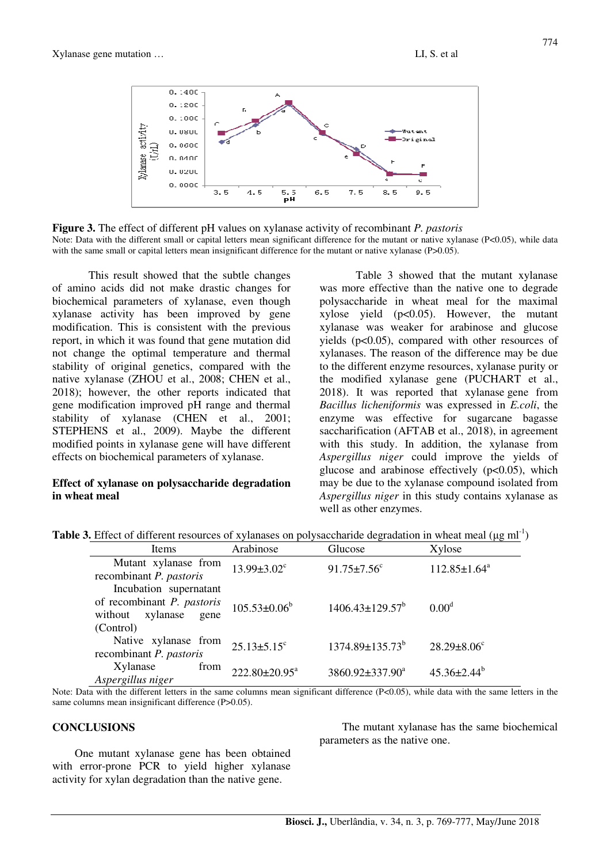

**Figure 3.** The effect of different pH values on xylanase activity of recombinant *P. pastoris*  Note: Data with the different small or capital letters mean significant difference for the mutant or native xylanase (P<0.05), while data with the same small or capital letters mean insignificant difference for the mutant or native xylanase (P>0.05).

This result showed that the subtle changes of amino acids did not make drastic changes for biochemical parameters of xylanase, even though xylanase activity has been improved by gene modification. This is consistent with the previous report, in which it was found that gene mutation did not change the optimal temperature and thermal stability of original genetics, compared with the native xylanase (ZHOU et al., 2008; CHEN et al., 2018); however, the other reports indicated that gene modification improved pH range and thermal stability of xylanase (CHEN et al., 2001; STEPHENS et al., 2009). Maybe the different modified points in xylanase gene will have different effects on biochemical parameters of xylanase.

### **Effect of xylanase on polysaccharide degradation in wheat meal**

Table 3 showed that the mutant xylanase was more effective than the native one to degrade polysaccharide in wheat meal for the maximal xylose yield (p<0.05). However, the mutant xylanase was weaker for arabinose and glucose yields  $(p<0.05)$ , compared with other resources of xylanases. The reason of the difference may be due to the different enzyme resources, xylanase purity or the modified xylanase gene (PUCHART et al., 2018). It was reported that xylanase gene from *Bacillus licheniformis* was expressed in *E.coli*, the enzyme was effective for sugarcane bagasse saccharification (AFTAB et al., 2018), in agreement with this study. In addition, the xylanase from *Aspergillus niger* could improve the yields of glucose and arabinose effectively  $(p<0.05)$ , which may be due to the xylanase compound isolated from *Aspergillus niger* in this study contains xylanase as well as other enzymes.

|  | <b>Table 3.</b> Effect of different resources of xylanases on polysaccharide degradation in wheat meal ( $\mu$ g ml <sup>-1</sup> ) |  |  |  |  |
|--|-------------------------------------------------------------------------------------------------------------------------------------|--|--|--|--|
|  |                                                                                                                                     |  |  |  |  |

| <b>Items</b>                                                                                  | Arabinose                     | Glucose                       | Xylose                        |
|-----------------------------------------------------------------------------------------------|-------------------------------|-------------------------------|-------------------------------|
| Mutant xylanase from<br>recombinant P. pastoris                                               | $13.99 \pm 3.02$ <sup>c</sup> | $91.75 \pm 7.56$ <sup>c</sup> | $112.85 \pm 1.64^a$           |
| Incubation supernatant<br>of recombinant P. pastoris<br>without xylanase<br>gene<br>(Control) | $105.53 \pm 0.06^b$           | $1406.43 \pm 129.57^b$        | 0.00 <sup>d</sup>             |
| Native xylanase from<br>recombinant P. pastoris                                               | $25.13 \pm 5.15$ <sup>c</sup> | $1374.89 \pm 135.73^b$        | $28.29 \pm 8.06$ <sup>c</sup> |
| Xylanase<br>from<br>Aspergillus niger                                                         | $222.80 \pm 20.95^a$          | 3860.92±337.90 <sup>a</sup>   | $45.36 \pm 2.44^b$            |

Note: Data with the different letters in the same columns mean significant difference (P<0.05), while data with the same letters in the same columns mean insignificant difference (P>0.05).

#### **CONCLUSIONS**

One mutant xylanase gene has been obtained with error-prone PCR to yield higher xylanase activity for xylan degradation than the native gene.

The mutant xylanase has the same biochemical parameters as the native one.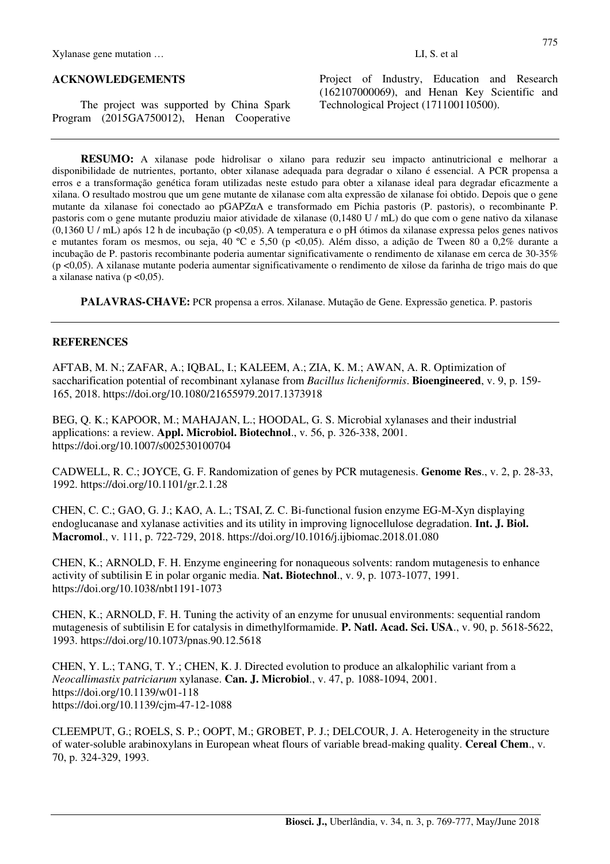#### **ACKNOWLEDGEMENTS**

The project was supported by China Spark Program (2015GA750012), Henan Cooperative

Project of Industry, Education and Research (162107000069), and Henan Key Scientific and Technological Project (171100110500).

**RESUMO:** A xilanase pode hidrolisar o xilano para reduzir seu impacto antinutricional e melhorar a disponibilidade de nutrientes, portanto, obter xilanase adequada para degradar o xilano é essencial. A PCR propensa a erros e a transformação genética foram utilizadas neste estudo para obter a xilanase ideal para degradar eficazmente a xilana. O resultado mostrou que um gene mutante de xilanase com alta expressão de xilanase foi obtido. Depois que o gene mutante da xilanase foi conectado ao pGAPZαA e transformado em Pichia pastoris (P. pastoris), o recombinante P. pastoris com o gene mutante produziu maior atividade de xilanase (0,1480 U / mL) do que com o gene nativo da xilanase (0,1360 U / mL) após 12 h de incubação (p <0,05). A temperatura e o pH ótimos da xilanase expressa pelos genes nativos e mutantes foram os mesmos, ou seja, 40 ºC e 5,50 (p <0,05). Além disso, a adição de Tween 80 a 0,2% durante a incubação de P. pastoris recombinante poderia aumentar significativamente o rendimento de xilanase em cerca de 30-35% (p <0,05). A xilanase mutante poderia aumentar significativamente o rendimento de xilose da farinha de trigo mais do que a xilanase nativa (p $\leq 0.05$ ).

**PALAVRAS-CHAVE:** PCR propensa a erros. Xilanase. Mutação de Gene. Expressão genetica. P. pastoris

#### **REFERENCES**

AFTAB, M. N.; ZAFAR, A.; IQBAL, I.; KALEEM, A.; ZIA, K. M.; AWAN, A. R. Optimization of saccharification potential of recombinant xylanase from *Bacillus licheniformis*. **Bioengineered**, v. 9, p. 159- 165, 2018. https://doi.org/10.1080/21655979.2017.1373918

BEG, Q. K.; KAPOOR, M.; MAHAJAN, L.; HOODAL, G. S. Microbial xylanases and their industrial applications: a review. **Appl. Microbiol. Biotechnol**., v. 56, p. 326-338, 2001. https://doi.org/10.1007/s002530100704

CADWELL, R. C.; JOYCE, G. F. Randomization of genes by PCR mutagenesis. **Genome Res**., v. 2, p. 28-33, 1992. https://doi.org/10.1101/gr.2.1.28

CHEN, C. C.; GAO, G. J.; KAO, A. L.; TSAI, Z. C. Bi-functional fusion enzyme EG-M-Xyn displaying endoglucanase and xylanase activities and its utility in improving lignocellulose degradation. **Int. J. Biol. Macromol**., v. 111, p. 722-729, 2018. https://doi.org/10.1016/j.ijbiomac.2018.01.080

CHEN, K.; ARNOLD, F. H. Enzyme engineering for nonaqueous solvents: random mutagenesis to enhance activity of subtilisin E in polar organic media. **Nat. Biotechnol**., v. 9, p. 1073-1077, 1991. https://doi.org/10.1038/nbt1191-1073

CHEN, K.; ARNOLD, F. H. Tuning the activity of an enzyme for unusual environments: sequential random mutagenesis of subtilisin E for catalysis in dimethylformamide. **P. Natl. Acad. Sci. USA**., v. 90, p. 5618-5622, 1993. https://doi.org/10.1073/pnas.90.12.5618

CHEN, Y. L.; TANG, T. Y.; CHEN, K. J. Directed evolution to produce an alkalophilic variant from a *Neocallimastix patriciarum* xylanase. **Can. J. Microbiol**., v. 47, p. 1088-1094, 2001. https://doi.org/10.1139/w01-118 https://doi.org/10.1139/cjm-47-12-1088

CLEEMPUT, G.; ROELS, S. P.; OOPT, M.; GROBET, P. J.; DELCOUR, J. A. Heterogeneity in the structure of water-soluble arabinoxylans in European wheat flours of variable bread-making quality. **Cereal Chem**., v. 70, p. 324-329, 1993.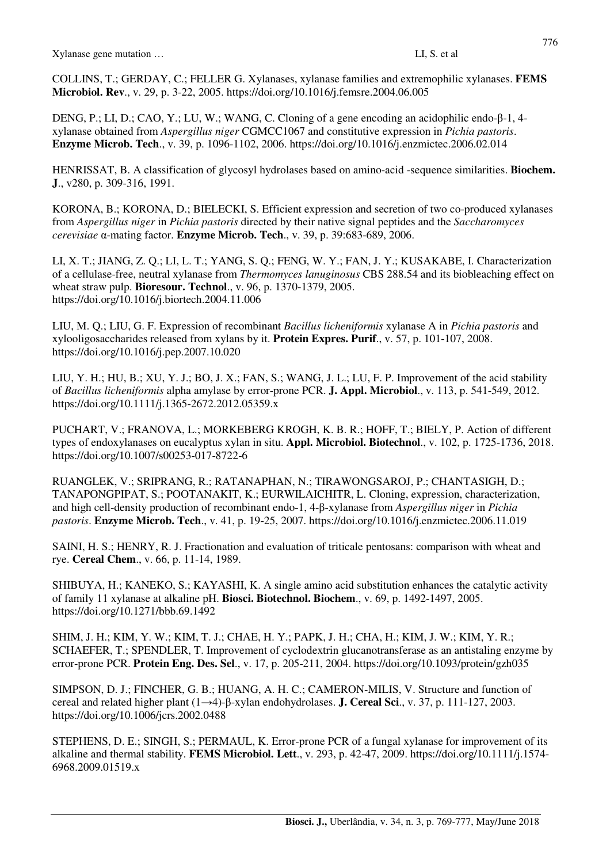COLLINS, T.; GERDAY, C.; FELLER G. Xylanases, xylanase families and extremophilic xylanases. **FEMS Microbiol. Rev**., v. 29, p. 3-22, 2005. https://doi.org/10.1016/j.femsre.2004.06.005

DENG, P.; LI, D.; CAO, Y.; LU, W.; WANG, C. Cloning of a gene encoding an acidophilic endo-β-1, 4 xylanase obtained from *Aspergillus niger* CGMCC1067 and constitutive expression in *Pichia pastoris*. **Enzyme Microb. Tech**., v. 39, p. 1096-1102, 2006. https://doi.org/10.1016/j.enzmictec.2006.02.014

HENRISSAT, B. A classification of glycosyl hydrolases based on amino-acid -sequence similarities. **Biochem. J**., v280, p. 309-316, 1991.

KORONA, B.; KORONA, D.; BIELECKI, S. Efficient expression and secretion of two co-produced xylanases from *Aspergillus niger* in *Pichia pastoris* directed by their native signal peptides and the *Saccharomyces cerevisiae* α-mating factor. **Enzyme Microb. Tech**., v. 39, p. 39:683-689, 2006.

LI, X. T.; JIANG, Z. Q.; LI, L. T.; YANG, S. Q.; FENG, W. Y.; FAN, J. Y.; KUSAKABE, I. Characterization of a cellulase-free, neutral xylanase from *Thermomyces lanuginosus* CBS 288.54 and its biobleaching effect on wheat straw pulp. **Bioresour. Technol**., v. 96, p. 1370-1379, 2005. https://doi.org/10.1016/j.biortech.2004.11.006

LIU, M. Q.; LIU, G. F. Expression of recombinant *Bacillus licheniformis* xylanase A in *Pichia pastoris* and xylooligosaccharides released from xylans by it. **Protein Expres. Purif**., v. 57, p. 101-107, 2008. https://doi.org/10.1016/j.pep.2007.10.020

LIU, Y. H.; HU, B.; XU, Y. J.; BO, J. X.; FAN, S.; WANG, J. L.; LU, F. P. Improvement of the acid stability of *Bacillus licheniformis* alpha amylase by error-prone PCR. **J. Appl. Microbiol**., v. 113, p. 541-549, 2012. https://doi.org/10.1111/j.1365-2672.2012.05359.x

PUCHART, V.; FRANOVA, L.; MORKEBERG KROGH, K. B. R.; HOFF, T.; BIELY, P. Action of different types of endoxylanases on eucalyptus xylan in situ. **Appl. Microbiol. Biotechnol**., v. 102, p. 1725-1736, 2018. https://doi.org/10.1007/s00253-017-8722-6

RUANGLEK, V.; SRIPRANG, R.; RATANAPHAN, N.; TIRAWONGSAROJ, P.; CHANTASIGH, D.; TANAPONGPIPAT, S.; POOTANAKIT, K.; EURWILAICHITR, L. Cloning, expression, characterization, and high cell-density production of recombinant endo-1, 4-β-xylanase from *Aspergillus niger* in *Pichia pastoris*. **Enzyme Microb. Tech**., v. 41, p. 19-25, 2007. https://doi.org/10.1016/j.enzmictec.2006.11.019

SAINI, H. S.; HENRY, R. J. Fractionation and evaluation of triticale pentosans: comparison with wheat and rye. **Cereal Chem**., v. 66, p. 11-14, 1989.

SHIBUYA, H.; KANEKO, S.; KAYASHI, K. A single amino acid substitution enhances the catalytic activity of family 11 xylanase at alkaline pH. **Biosci. Biotechnol. Biochem**., v. 69, p. 1492-1497, 2005. https://doi.org/10.1271/bbb.69.1492

SHIM, J. H.; KIM, Y. W.; KIM, T. J.; CHAE, H. Y.; PAPK, J. H.; CHA, H.; KIM, J. W.; KIM, Y. R.; SCHAEFER, T.; SPENDLER, T. Improvement of cyclodextrin glucanotransferase as an antistaling enzyme by error-prone PCR. **Protein Eng. Des. Sel**., v. 17, p. 205-211, 2004. https://doi.org/10.1093/protein/gzh035

SIMPSON, D. J.; FINCHER, G. B.; HUANG, A. H. C.; CAMERON-MILIS, V. Structure and function of cereal and related higher plant (1→4)-β-xylan endohydrolases. **J. Cereal Sci**., v. 37, p. 111-127, 2003. https://doi.org/10.1006/jcrs.2002.0488

STEPHENS, D. E.; SINGH, S.; PERMAUL, K. Error-prone PCR of a fungal xylanase for improvement of its alkaline and thermal stability. **FEMS Microbiol. Lett**., v. 293, p. 42-47, 2009. https://doi.org/10.1111/j.1574- 6968.2009.01519.x